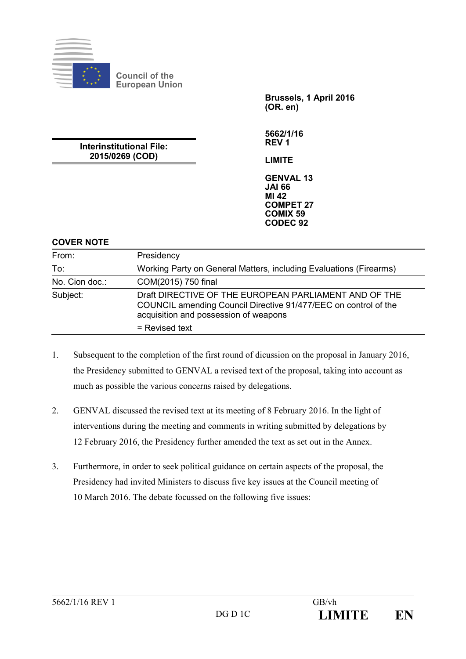

**Council of the European Union**

> **Brussels, 1 April 2016 (OR. en)**

**5662/1/16 REV 1**

**Interinstitutional File: 2015/0269 (COD)**

**LIMITE**

**GENVAL 13 JAI 66 MI 42 COMPET 27 COMIX 59 CODEC 92**

## **COVER NOTE**

| From:          | Presidency                                                                                                                                                        |
|----------------|-------------------------------------------------------------------------------------------------------------------------------------------------------------------|
| To:            | Working Party on General Matters, including Evaluations (Firearms)                                                                                                |
| No. Cion doc.: | COM(2015) 750 final                                                                                                                                               |
| Subject:       | Draft DIRECTIVE OF THE EUROPEAN PARLIAMENT AND OF THE<br>COUNCIL amending Council Directive 91/477/EEC on control of the<br>acquisition and possession of weapons |
|                | = Revised text                                                                                                                                                    |

- 1. Subsequent to the completion of the first round of dicussion on the proposal in January 2016, the Presidency submitted to GENVAL a revised text of the proposal, taking into account as much as possible the various concerns raised by delegations.
- 2. GENVAL discussed the revised text at its meeting of 8 February 2016. In the light of interventions during the meeting and comments in writing submitted by delegations by 12 February 2016, the Presidency further amended the text as set out in the Annex.
- 3. Furthermore, in order to seek political guidance on certain aspects of the proposal, the Presidency had invited Ministers to discuss five key issues at the Council meeting of 10 March 2016. The debate focussed on the following five issues: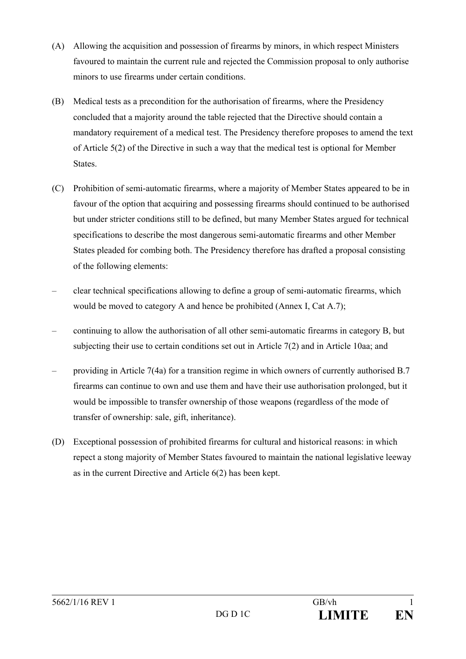- (A) Allowing the acquisition and possession of firearms by minors, in which respect Ministers favoured to maintain the current rule and rejected the Commission proposal to only authorise minors to use firearms under certain conditions.
- (B) Medical tests as a precondition for the authorisation of firearms, where the Presidency concluded that a majority around the table rejected that the Directive should contain a mandatory requirement of a medical test. The Presidency therefore proposes to amend the text of Article 5(2) of the Directive in such a way that the medical test is optional for Member States.
- (C) Prohibition of semi-automatic firearms, where a majority of Member States appeared to be in favour of the option that acquiring and possessing firearms should continued to be authorised but under stricter conditions still to be defined, but many Member States argued for technical specifications to describe the most dangerous semi-automatic firearms and other Member States pleaded for combing both. The Presidency therefore has drafted a proposal consisting of the following elements:
- clear technical specifications allowing to define a group of semi-automatic firearms, which would be moved to category A and hence be prohibited (Annex I, Cat A.7);
- continuing to allow the authorisation of all other semi-automatic firearms in category B, but subjecting their use to certain conditions set out in Article 7(2) and in Article 10aa; and
- providing in Article 7(4a) for a transition regime in which owners of currently authorised B.7 firearms can continue to own and use them and have their use authorisation prolonged, but it would be impossible to transfer ownership of those weapons (regardless of the mode of transfer of ownership: sale, gift, inheritance).
- (D) Exceptional possession of prohibited firearms for cultural and historical reasons: in which repect a stong majority of Member States favoured to maintain the national legislative leeway as in the current Directive and Article 6(2) has been kept.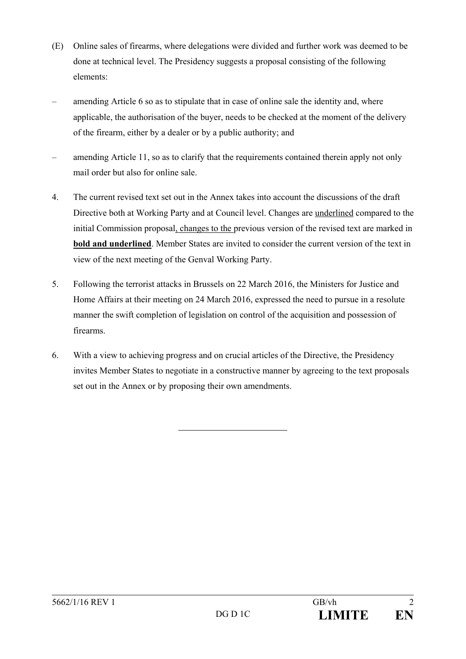- (E) Online sales of firearms, where delegations were divided and further work was deemed to be done at technical level. The Presidency suggests a proposal consisting of the following elements:
- amending Article 6 so as to stipulate that in case of online sale the identity and, where applicable, the authorisation of the buyer, needs to be checked at the moment of the delivery of the firearm, either by a dealer or by a public authority; and
- amending Article 11, so as to clarify that the requirements contained therein apply not only mail order but also for online sale.
- 4. The current revised text set out in the Annex takes into account the discussions of the draft Directive both at Working Party and at Council level. Changes are underlined compared to the initial Commission proposal, changes to the previous version of the revised text are marked in **bold and underlined**. Member States are invited to consider the current version of the text in view of the next meeting of the Genval Working Party.
- 5. Following the terrorist attacks in Brussels on 22 March 2016, the Ministers for Justice and Home Affairs at their meeting on 24 March 2016, expressed the need to pursue in a resolute manner the swift completion of legislation on control of the acquisition and possession of firearms.
- 6. With a view to achieving progress and on crucial articles of the Directive, the Presidency invites Member States to negotiate in a constructive manner by agreeing to the text proposals set out in the Annex or by proposing their own amendments.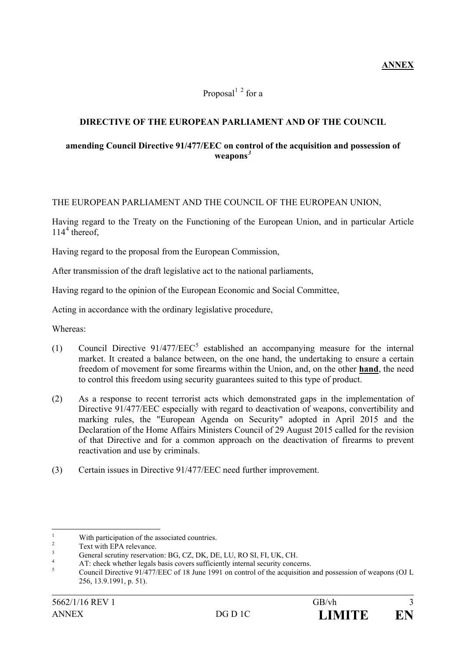# Proposal $^{1}$  <sup>2</sup> for a

## **DIRECTIVE OF THE EUROPEAN PARLIAMENT AND OF THE COUNCIL**

#### **amending Council Directive 91/477/EEC on control of the acquisition and possession of weapons***<sup>3</sup>*

#### THE EUROPEAN PARLIAMENT AND THE COUNCIL OF THE EUROPEAN UNION,

Having regard to the Treaty on the Functioning of the European Union, and in particular Article  $114<sup>4</sup>$  thereof.

Having regard to the proposal from the European Commission,

After transmission of the draft legislative act to the national parliaments,

Having regard to the opinion of the European Economic and Social Committee,

Acting in accordance with the ordinary legislative procedure,

Whereas:

- (1) Council Directive  $91/477/EEC^5$  established an accompanying measure for the internal market. It created a balance between, on the one hand, the undertaking to ensure a certain freedom of movement for some firearms within the Union, and, on the other **hand**, the need to control this freedom using security guarantees suited to this type of product.
- (2) As a response to recent terrorist acts which demonstrated gaps in the implementation of Directive 91/477/EEC especially with regard to deactivation of weapons, convertibility and marking rules, the "European Agenda on Security" adopted in April 2015 and the Declaration of the Home Affairs Ministers Council of 29 August 2015 called for the revision of that Directive and for a common approach on the deactivation of firearms to prevent reactivation and use by criminals.
- (3) Certain issues in Directive 91/477/EEC need further improvement.

<sup>&</sup>lt;sup>1</sup><br>
<sup>2</sup><br>
Text with EPA relevance.<br>
Text with EPA relevance.<br>
General scrutiny reservation: BG, CZ, DK, DE, LU, RO SI, FI, UK, CH.<br>
AT: check whether legals basis covers sufficiently internal security concerns.<br>
Council Di 256, 13.9.1991, p. 51).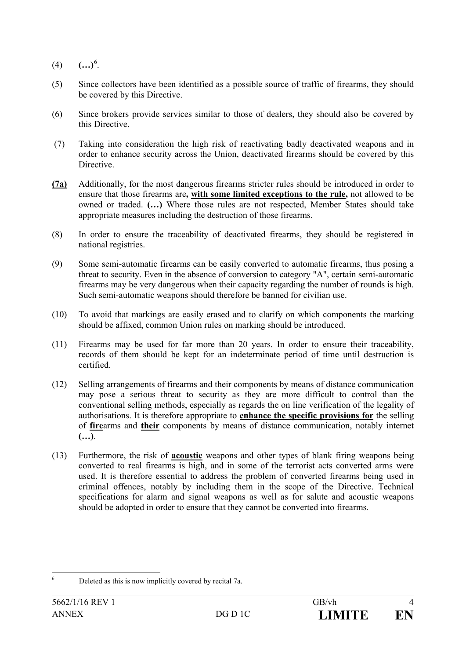- $(4)$   $(...)^{6}$ .
- (5) Since collectors have been identified as a possible source of traffic of firearms, they should be covered by this Directive.
- (6) Since brokers provide services similar to those of dealers, they should also be covered by this Directive.
- (7) Taking into consideration the high risk of reactivating badly deactivated weapons and in order to enhance security across the Union, deactivated firearms should be covered by this Directive.
- **(7a)** Additionally, for the most dangerous firearms stricter rules should be introduced in order to ensure that those firearms are**, with some limited exceptions to the rule,** not allowed to be owned or traded. **(…)** Where those rules are not respected, Member States should take appropriate measures including the destruction of those firearms.
- (8) In order to ensure the traceability of deactivated firearms, they should be registered in national registries.
- (9) Some semi-automatic firearms can be easily converted to automatic firearms, thus posing a threat to security. Even in the absence of conversion to category "A", certain semi-automatic firearms may be very dangerous when their capacity regarding the number of rounds is high. Such semi-automatic weapons should therefore be banned for civilian use.
- (10) To avoid that markings are easily erased and to clarify on which components the marking should be affixed, common Union rules on marking should be introduced.
- (11) Firearms may be used for far more than 20 years. In order to ensure their traceability, records of them should be kept for an indeterminate period of time until destruction is certified.
- (12) Selling arrangements of firearms and their components by means of distance communication may pose a serious threat to security as they are more difficult to control than the conventional selling methods, especially as regards the on line verification of the legality of authorisations. It is therefore appropriate to **enhance the specific provisions for** the selling of **fire**arms and **their** components by means of distance communication, notably internet **(…)**.
- (13) Furthermore, the risk of **acoustic** weapons and other types of blank firing weapons being converted to real firearms is high, and in some of the terrorist acts converted arms were used. It is therefore essential to address the problem of converted firearms being used in criminal offences, notably by including them in the scope of the Directive. Technical specifications for alarm and signal weapons as well as for salute and acoustic weapons should be adopted in order to ensure that they cannot be converted into firearms.

 <sup>6</sup> Deleted as this is now implicitly covered by recital 7a.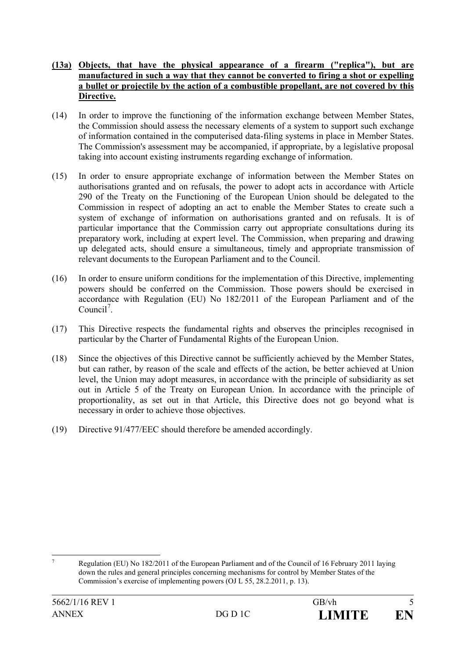#### **(13a) Objects, that have the physical appearance of a firearm ("replica"), but are manufactured in such a way that they cannot be converted to firing a shot or expelling a bullet or projectile by the action of a combustible propellant, are not covered by this Directive.**

- (14) In order to improve the functioning of the information exchange between Member States, the Commission should assess the necessary elements of a system to support such exchange of information contained in the computerised data-filing systems in place in Member States. The Commission's assessment may be accompanied, if appropriate, by a legislative proposal taking into account existing instruments regarding exchange of information.
- (15) In order to ensure appropriate exchange of information between the Member States on authorisations granted and on refusals, the power to adopt acts in accordance with Article 290 of the Treaty on the Functioning of the European Union should be delegated to the Commission in respect of adopting an act to enable the Member States to create such a system of exchange of information on authorisations granted and on refusals. It is of particular importance that the Commission carry out appropriate consultations during its preparatory work, including at expert level. The Commission, when preparing and drawing up delegated acts, should ensure a simultaneous, timely and appropriate transmission of relevant documents to the European Parliament and to the Council.
- (16) In order to ensure uniform conditions for the implementation of this Directive, implementing powers should be conferred on the Commission. Those powers should be exercised in accordance with Regulation (EU) No 182/2011 of the European Parliament and of the Council<sup>7</sup>.
- (17) This Directive respects the fundamental rights and observes the principles recognised in particular by the Charter of Fundamental Rights of the European Union.
- (18) Since the objectives of this Directive cannot be sufficiently achieved by the Member States, but can rather, by reason of the scale and effects of the action, be better achieved at Union level, the Union may adopt measures, in accordance with the principle of subsidiarity as set out in Article 5 of the Treaty on European Union. In accordance with the principle of proportionality, as set out in that Article, this Directive does not go beyond what is necessary in order to achieve those objectives.
- (19) Directive 91/477/EEC should therefore be amended accordingly.

 <sup>7</sup> Regulation (EU) No 182/2011 of the European Parliament and of the Council of 16 February 2011 laying down the rules and general principles concerning mechanisms for control by Member States of the Commission's exercise of implementing powers (OJ L 55, 28.2.2011, p. 13).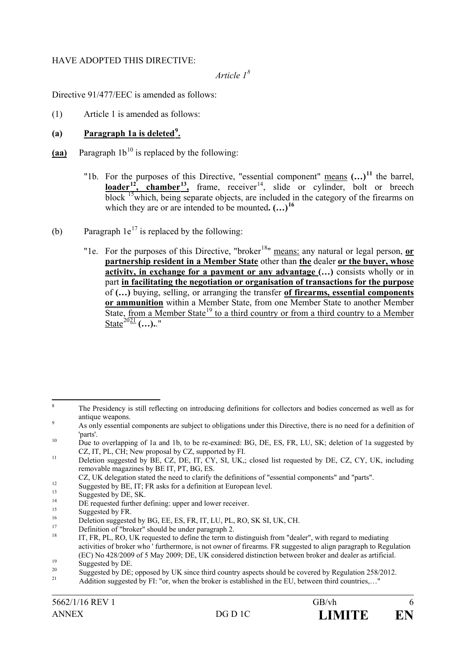#### HAVE ADOPTED THIS DIRECTIVE:

# *Article 1<sup>8</sup>*

Directive 91/477/EEC is amended as follows:

(1) Article 1 is amended as follows:

## (a) **Paragraph 1a is deleted<sup>9</sup>**.

- $(aa)$  Paragraph  $1b^{10}$  is replaced by the following:
	- "1b. For the purposes of this Directive, "essential component" means **(…)<sup>11</sup>** the barrel, **loader**<sup>12</sup>, chamber<sup>13</sup>, frame, receiver<sup>14</sup>, slide or cylinder, bolt or breech block  $\frac{15}{3}$ which, being separate objects, are included in the category of the firearms on which they are or are intended to be mounted**. (…)<sup>16</sup>**
- (b) Paragraph  $1e^{17}$  is replaced by the following:
	- "1e. For the purposes of this Directive, "broker<sup>18</sup>" means: any natural or legal person, or **partnership resident in a Member State** other than **the** dealer **or the buyer, whose activity, in exchange for a payment or any advantage (…)** consists wholly or in part **in facilitating the negotiation or organisation of transactions for the purpose** of **(…)** buying, selling, or arranging the transfer **of firearms, essential components or ammunition** within a Member State, from one Member State to another Member State, from a Member State<sup>19</sup> to a third country or from a third country to a Member State<sup>2021</sup> **(…).**."

<sup>&</sup>lt;sup>8</sup> The Presidency is still reflecting on introducing definitions for collectors and bodies concerned as well as for antique weapons.<br>As only essential components are subject to obligations under this Directive, there is no need for a definition of

<sup>&</sup>lt;sup>10</sup> parts'.<br><sup>10</sup> Due to overlapping of 1a and 1b, to be re-examined: BG, DE, ES, FR, LU, SK; deletion of 1a suggested by

CZ, IT, PL, CH; New proposal by CZ, supported by FI.<br>Deletion suggested by BE, CZ, DE, IT, CY, SI, UK,; closed list requested by DE, CZ, CY, UK, including

removable magazines by BE IT, PT, BG, ES.<br>CZ, UK delegation stated the need to clarify the definitions of "essential components" and "parts".

Suggested by BE, IT; FR asks for a definition at European level.<br>
Suggested by DE, SK.<br>
DE requested further defining: upper and lower receiver.<br>
Suggested by DE, SK.<br>
DE requested further defining: upper and lower receive activities of broker who ' furthermore, is not owner of firearms. FR suggested to align paragraph to Regulation (EC) No 428/2009 of 5 May 2009; DE, UK considered distinction between broker and dealer as artificial.

Suggested by DE.<br>Suggested by DE, opposed by UK since third country aspects should be covered by Regulation 258/2012.<br>Addition suggested by FI: "or, when the broker is established in the EU, between third countries...."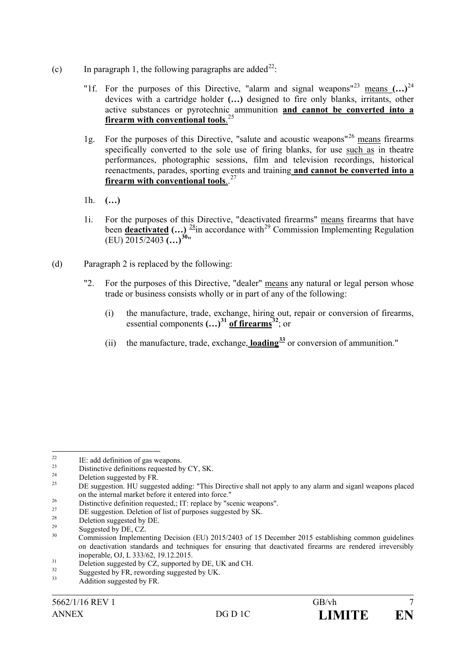- (c) In paragraph 1, the following paragraphs are added<sup>22</sup>:
	- "1f. For the purposes of this Directive, "alarm and signal weapons"<sup>23</sup> means **(…)**<sup>24</sup> devices with a cartridge holder **(…)** designed to fire only blanks, irritants, other active substances or pyrotechnic ammunition **and cannot be converted into a firearm with conventional tools**. 25
	- 1g. For the purposes of this Directive, "salute and acoustic weapons"<sup>26</sup> means firearms specifically converted to the sole use of firing blanks, for use such as in theatre performances, photographic sessions, film and television recordings, historical reenactments, parades, sporting events and training **and cannot be converted into a firearm with conventional tools**.. 27
	- 1h. **(…)**
	- 1i. For the purposes of this Directive, "deactivated firearms" means firearms that have been **deactivated**  $(...)$   $\frac{28}{3}$ in accordance with<sup>29</sup> Commission Implementing Regulation (EU) 2015/2403 **(…)<sup>30</sup>**"
- (d) Paragraph 2 is replaced by the following:
	- "2. For the purposes of this Directive, "dealer" means any natural or legal person whose trade or business consists wholly or in part of any of the following:
		- (i) the manufacture, trade, exchange, hiring out, repair or conversion of firearms, essential components **(…)<sup>31</sup> of firearms<sup>32</sup>**; or
		- (ii) the manufacture, trade, exchange, **loading<sup>33</sup>** or conversion of ammunition."

<sup>&</sup>lt;sup>22</sup> IE: add definition of gas weapons.<br>
<sup>23</sup> Distinctive definitions requested by CY, SK.<br>
<sup>24</sup> Deletion suggested by FR.<br>
DE suggestion. HU suggested adding: "This Directive shall not apply to any alarm and siganl weapo

<sup>&</sup>lt;sup>26</sup><br>
Distinctive definition requested,; IT: replace by "scenic weapons".<br>
DE suggestion. Deletion of list of purposes suggested by SK.<br>
Deletion suggested by DE.<br>
Suggested by DE, CZ.<br>
Commission Implementing Decision (EU on deactivation standards and techniques for ensuring that deactivated firearms are rendered irreversibly

inoperable, OJ, L 333/62, 19.12.2015.<br>
Deletion suggested by CZ, supported by DE, UK and CH.<br>
Suggested by FR, rewording suggested by UK.<br>
Addition suggested by FR.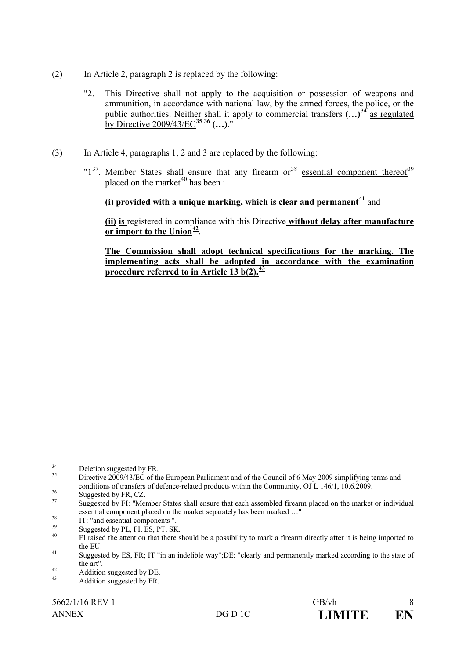- (2) In Article 2, paragraph 2 is replaced by the following:
	- "2. This Directive shall not apply to the acquisition or possession of weapons and ammunition, in accordance with national law, by the armed forces, the police, or the public authorities. Neither shall it apply to commercial transfers **(…)**<sup>34</sup> as regulated by Directive 2009/43/EC**<sup>35</sup> <sup>36</sup> (…)**."
- (3) In Article 4, paragraphs 1, 2 and 3 are replaced by the following:
	- " $1<sup>37</sup>$ . Member States shall ensure that any firearm or<sup>38</sup> essential component thereof<sup>39</sup> placed on the market<sup>40</sup> has been  $\cdot$

# **(i) provided with a unique marking, which is clear and permanent<sup>41</sup>** and

**(ii) is** registered in compliance with this Directive **without delay after manufacture or import to the Union<sup>42</sup>**.

**The Commission shall adopt technical specifications for the marking. The implementing acts shall be adopted in accordance with the examination procedure referred to in Article 13 b(2).<sup>43</sup>**

<sup>&</sup>lt;sup>34</sup> Deletion suggested by FR.<br><sup>35</sup> Directive 2009/43/EC of the European Parliament and of the Council of 6 May 2009 simplifying terms and conditions of transfers of defence-related products within the Community, OJ L 146/1, 10.6.2009.<br>Suggested by FR, CZ.<br>Suggested by FI: "Member States shall ensure that each assembled firearm placed on the market or individ

essential component placed on the market separately has been marked ..."<br>IT: "and essential components ".<br>Suggested by PL, FI, ES, PT, SK.<br>FI raised the attention that there should be a possibility to mark a firearm direct

the EU.<br>Suggested by ES, FR; IT "in an indelible way";DE: "clearly and permanently marked according to the state of

the art".<br>
42 Addition suggested by DE.<br>
43 Addition suggested by FR.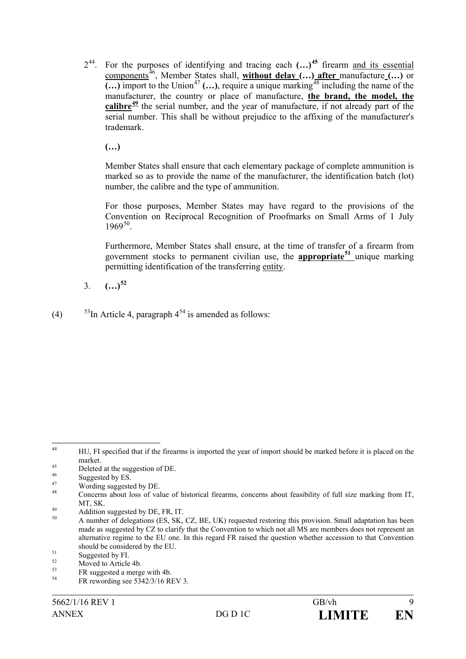244. For the purposes of identifying and tracing each **(…)<sup>45</sup>** firearm and its essential components<sup>46</sup>, Member States shall, **without delay (…)** after manufacture (…) or  $\overline{(\ldots)}$  import to the Union<sup>47</sup>  $(\ldots)$ , require a unique marking<sup>48</sup> including the name of the manufacturer, the country or place of manufacture, **the brand, the model, the calibre<sup>49</sup>** the serial number, and the year of manufacture, if not already part of the serial number. This shall be without prejudice to the affixing of the manufacturer's trademark.

**(…)**

Member States shall ensure that each elementary package of complete ammunition is marked so as to provide the name of the manufacturer, the identification batch (lot) number, the calibre and the type of ammunition.

For those purposes, Member States may have regard to the provisions of the Convention on Reciprocal Recognition of Proofmarks on Small Arms of 1 July  $1969^{50}$ .

Furthermore, Member States shall ensure, at the time of transfer of a firearm from government stocks to permanent civilian use, the **appropriate<sup>51</sup>** unique marking permitting identification of the transferring entity.

3. **(…)<sup>52</sup>**

(4)  $53\text{In Article 4, paragraph } 4^{54}$  is amended as follows:

<sup>&</sup>lt;sup>44</sup> HU, FI specified that if the firearms is imported the year of import should be marked before it is placed on the market.<br>
45 Deleted at the suggestion of DE.<br>
47 Suggested by ES.<br>
48 Wording suggested by DE.<br>
48 Concerns about loss of value of historical firearms, concerns about feasibility of full size marking from IT.

MT, SK.<br>
<sup>49</sup> Addition suggested by DE, FR, IT.<br>
<sup>50</sup> A number of delegations (ES, SK, CZ, BE, UK) requested restoring this provision. Small adaptation has been

made as suggested by CZ to clarify that the Convention to which not all MS are members does not represent an alternative regime to the EU one. In this regard FR raised the question whether accession to that Convention

should be considered by the EU.<br>
<sup>51</sup> Suggested by FI.<br>
<sup>52</sup> Moved to Article 4b.<br>
FR suggested a merge with 4b.<br>
<sup>54</sup> FR rewording see 5342/3/16 REV 3.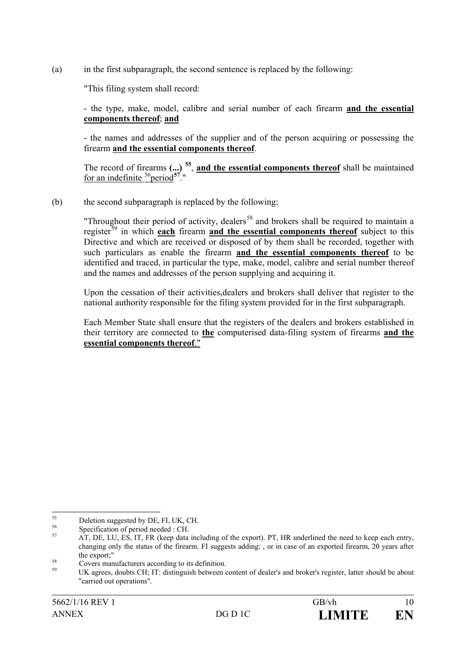(a) in the first subparagraph, the second sentence is replaced by the following:

"This filing system shall record:

- the type, make, model, calibre and serial number of each firearm **and the essential components thereof**; **and**

- the names and addresses of the supplier and of the person acquiring or possessing the firearm **and the essential components thereof**.

The record of firearms **(...) <sup>55</sup>**, **and the essential components thereof** shall be maintained for an indefinite <sup>56</sup>period<sup>57</sup>."

(b) the second subparagraph is replaced by the following:

"Throughout their period of activity, dealers<sup>58</sup> and brokers shall be required to maintain a register<sup>59</sup> in which **each** firearm **and the essential components thereof** subject to this Directive and which are received or disposed of by them shall be recorded, together with such particulars as enable the firearm **and the essential components thereof** to be identified and traced, in particular the type, make, model, calibre and serial number thereof and the names and addresses of the person supplying and acquiring it.

Upon the cessation of their activities,dealers and brokers shall deliver that register to the national authority responsible for the filing system provided for in the first subparagraph.

Each Member State shall ensure that the registers of the dealers and brokers established in their territory are connected to **the** computerised data-filing system of firearms **and the essential components thereof**."

<sup>55</sup> Deletion suggested by DE, FI, UK, CH.<br>56 Specification of period needed : CH.<br>57 AT, DE, LU, ES, IT, FR (keep data including of the export). PT, HR underlined the need to keep each entry, changing only the status of the firearm. FI suggests adding: , or in case of an exported firearm, 20 years after

the export;"<br>
S<sup>8</sup> Covers manufacturers according to its definition.<br>
UK agrees, doubts CH; IT: distinguish between content of dealer's and broker's register, latter should be about "carried out operations".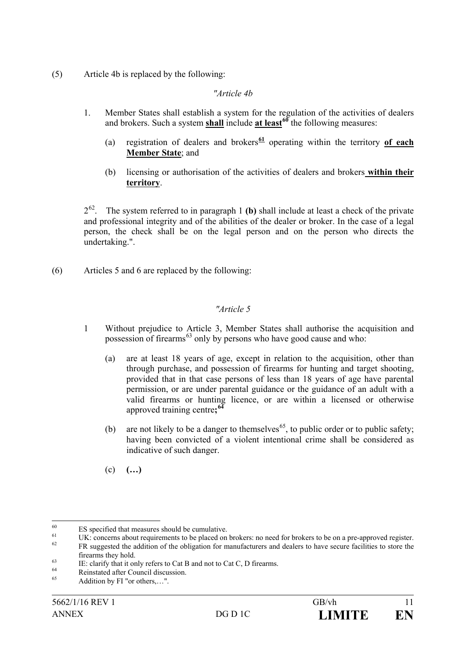(5) Article 4b is replaced by the following:

## *"Article 4b*

- 1. Member States shall establish a system for the regulation of the activities of dealers and brokers. Such a system **shall** include **at least<sup>60</sup>** the following measures:
	- (a) registration of dealers and brokers**<sup>61</sup>** operating within the territory **of each Member State**; and
	- (b) licensing or authorisation of the activities of dealers and brokers **within their territory**.

 $2^{62}$ . The system referred to in paragraph 1 **(b)** shall include at least a check of the private and professional integrity and of the abilities of the dealer or broker. In the case of a legal person, the check shall be on the legal person and on the person who directs the undertaking.".

(6) Articles 5 and 6 are replaced by the following:

# *"Article 5*

- 1 Without prejudice to Article 3, Member States shall authorise the acquisition and possession of firearms<sup>63</sup> only by persons who have good cause and who:
	- (a) are at least 18 years of age, except in relation to the acquisition, other than through purchase, and possession of firearms for hunting and target shooting, provided that in that case persons of less than 18 years of age have parental permission, or are under parental guidance or the guidance of an adult with a valid firearms or hunting licence, or are within a licensed or otherwise approved training centre**; 64**
	- (b) are not likely to be a danger to themselves<sup>65</sup>, to public order or to public safety; having been convicted of a violent intentional crime shall be considered as indicative of such danger.
	- (c) **(…)**

<sup>&</sup>lt;sup>60</sup> ES specified that measures should be cumulative.<br>
UK: concerns about requirements to be placed on brokers: no need for brokers to be on a pre-approved register.<br>
FR suggested the addition of the obligation for manufa

Firearms they hold.<br>
IE: clarify that it only refers to Cat B and not to Cat C, D firearms.<br>
Reinstated after Council discussion.<br>
Addition by FI "or others,...".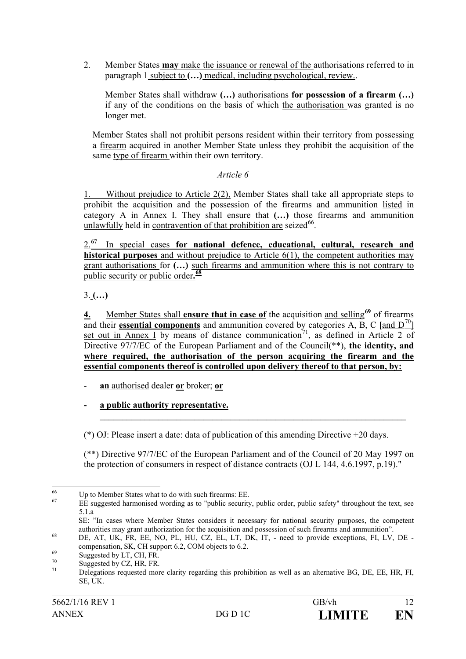2. Member States **may** make the issuance or renewal of the authorisations referred to in paragraph 1 subject to **(…)** medical, including psychological, review..

Member States shall withdraw **(…)** authorisations **for possession of a firearm (…)** if any of the conditions on the basis of which the authorisation was granted is no longer met.

Member States shall not prohibit persons resident within their territory from possessing a firearm acquired in another Member State unless they prohibit the acquisition of the same type of firearm within their own territory.

## *Article 6*

1. Without prejudice to Article 2(2), Member States shall take all appropriate steps to prohibit the acquisition and the possession of the firearms and ammunition listed in category A in Annex I. They shall ensure that **(…)** those firearms and ammunition unlawfully held in contravention of that prohibition are seized $^{66}$ .

2.**<sup>67</sup>** In special cases **for national defence, educational, cultural, research and historical purposes** and without prejudice to Article  $6(1)$ , the competent authorities may grant authorisations for **(…)** such firearms and ammunition where this is not contrary to public security or public order**. 68**

3. **(…)**

**4.** Member States shall **ensure that in case of** the acquisition and selling**<sup>69</sup>** of firearms and their **essential components** and ammunition covered by categories A, B, C [and  $D^{70}$ ] set out in Annex I by means of distance communication<sup>71</sup>, as defined in Article 2 of Directive 97/7/EC of the European Parliament and of the Council(\*\*), **the identity, and where required, the authorisation of the person acquiring the firearm and the essential components thereof is controlled upon delivery thereof to that person, by:**

- **an** authorised dealer **or** broker; **or**
- **- a public authority representative.**

(\*) OJ: Please insert a date: data of publication of this amending Directive +20 days.

(\*\*) Directive 97/7/EC of the European Parliament and of the Council of 20 May 1997 on the protection of consumers in respect of distance contracts (OJ L 144, 4.6.1997, p.19)."

 $\mathcal{L}_\text{max} = \mathcal{L}_\text{max} = \mathcal{L}_\text{max} = \mathcal{L}_\text{max} = \mathcal{L}_\text{max} = \mathcal{L}_\text{max} = \mathcal{L}_\text{max} = \mathcal{L}_\text{max} = \mathcal{L}_\text{max} = \mathcal{L}_\text{max} = \mathcal{L}_\text{max} = \mathcal{L}_\text{max} = \mathcal{L}_\text{max} = \mathcal{L}_\text{max} = \mathcal{L}_\text{max} = \mathcal{L}_\text{max} = \mathcal{L}_\text{max} = \mathcal{L}_\text{max} = \mathcal{$ 

<sup>&</sup>lt;sup>66</sup> Up to Member States what to do with such firearms: EE.<br><sup>67</sup> EE suggested harmonised wording as to "public security, public order, public safety" throughout the text, see 5.1.a

SE: "In cases where Member States considers it necessary for national security purposes, the competent authorities may grant authorization for the acquisition and possession of such firearms and ammunition".<br>
DE, AT, UK, FR, EE, NO, PL, HU, CZ, EL, LT, DK, IT, - need to provide exceptions, FI, LV, DE -

compensation, SK, CH support 6.2, COM objects to 6.2.<br>Suggested by LT, CH, FR.<br>Suggested by CZ, HR, FR.<br>Delegations requested more clarity regarding this prohibition as well as an alternative BG, DE, EE, HR, FI,

SE, UK.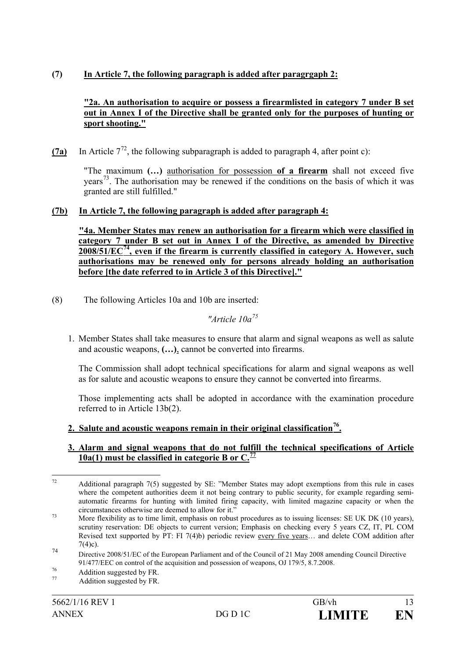# **(7) In Article 7, the following paragraph is added after paragrgaph 2:**

#### **"2a. An authorisation to acquire or possess a firearmlisted in category 7 under B set out in Annex I of the Directive shall be granted only for the purposes of hunting or sport shooting."**

(7a) In Article  $7^{72}$ , the following subparagraph is added to paragraph 4, after point c):

"The maximum **(…)** authorisation for possession **of a firearm** shall not exceed five years<sup>73</sup>. The authorisation may be renewed if the conditions on the basis of which it was granted are still fulfilled."

## **(7b) In Article 7, the following paragraph is added after paragraph 4:**

**"4a. Member States may renew an authorisation for a firearm which were classified in category 7 under B set out in Annex I of the Directive, as amended by Directive 2008/51/EC74, even if the firearm is currently classified in category A. However, such authorisations may be renewed only for persons already holding an authorisation before [the date referred to in Article 3 of this Directive]."**

(8) The following Articles 10a and 10b are inserted:

# *"Article 10a<sup>75</sup>*

1. Member States shall take measures to ensure that alarm and signal weapons as well as salute and acoustic weapons, **(…)**, cannot be converted into firearms.

The Commission shall adopt technical specifications for alarm and signal weapons as well as for salute and acoustic weapons to ensure they cannot be converted into firearms.

Those implementing acts shall be adopted in accordance with the examination procedure referred to in Article 13b(2).

## **2. Salute and acoustic weapons remain in their original classification76.**

#### **3. Alarm and signal weapons that do not fulfill the technical specifications of Article 10a(1) must be classified in categorie B or C.<sup>77</sup>**

<sup>&</sup>lt;sup>72</sup> Additional paragraph 7(5) suggested by SE: "Member States may adopt exemptions from this rule in cases where the competent authorities deem it not being contrary to public security, for example regarding semiautomatic firearms for hunting with limited firing capacity, with limited magazine capacity or when the

circumstances otherwise are deemed to allow for it."<br>More flexibility as to time limit, emphasis on robust procedures as to issuing licenses: SE UK DK (10 years), scrutiny reservation: DE objects to current version; Emphasis on checking every 5 years CZ, IT, PL COM Revised text supported by PT: FI 7(4)b) periodic review every five years… and delete COM addition after  $7(4)c$ ).

<sup>74</sup> Directive 2008/51/EC of the European Parliament and of the Council of 21 May 2008 amending Council Directive 91/477/EEC on control of the acquisition and possession of weapons, OJ 179/5, 8.7.2008.

<sup>&</sup>lt;sup>76</sup><br>
77 Addition suggested by FR.<br>
Addition suggested by FR.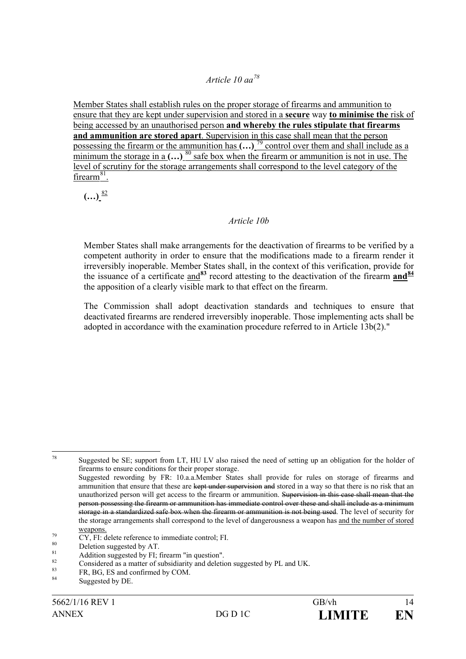# *Article 10 aa<sup>78</sup>*

Member States shall establish rules on the proper storage of firearms and ammunition to ensure that they are kept under supervision and stored in a **secure** way **to minimise the** risk of being accessed by an unauthorised person **and whereby the rules stipulate that firearms and ammunition are stored apart**. Supervision in this case shall mean that the person possessing the firearm or the ammunition has  $\left( \ldots \right)^{79}$  control over them and shall include as a minimum the storage in a  $(\ldots)$  <sup>80</sup> safe box when the firearm or ammunition is not in use. The level of scrutiny for the storage arrangements shall correspond to the level category of the firearm $81$ .

 $(...)$ <sup>82</sup>

## *Article 10b*

Member States shall make arrangements for the deactivation of firearms to be verified by a competent authority in order to ensure that the modifications made to a firearm render it irreversibly inoperable. Member States shall, in the context of this verification, provide for the issuance of a certificate and<sup>83</sup> record attesting to the deactivation of the firearm and<sup>84</sup> the apposition of a clearly visible mark to that effect on the firearm.

The Commission shall adopt deactivation standards and techniques to ensure that deactivated firearms are rendered irreversibly inoperable. Those implementing acts shall be adopted in accordance with the examination procedure referred to in Article 13b(2)."

<sup>78</sup> Suggested be SE; support from LT, HU LV also raised the need of setting up an obligation for the holder of firearms to ensure conditions for their proper storage.

Suggested rewording by FR: 10.a.a.Member States shall provide for rules on storage of firearms and ammunition that ensure that these are kept under supervision and stored in a way so that there is no risk that an unauthorized person will get access to the firearm or ammunition. Supervision in this case shall mean that the person possessing the firearm or ammunition has immediate control over these and shall include as a minimum storage in a standardized safe box when the firearm or ammunition is not being used. The level of security for the storage arrangements shall correspond to the level of dangerousness a weapon has and the number of stored

<sup>&</sup>lt;sup>79</sup><br>
CY, FI: delete reference to immediate control; FI.<br>
<sup>80</sup><br>
Deletion suggested by AT.<br>
Addition suggested by FI; firearm "in question".<br>
Considered as a matter of subsidiarity and deletion suggested by PL and UK.<br>
FR,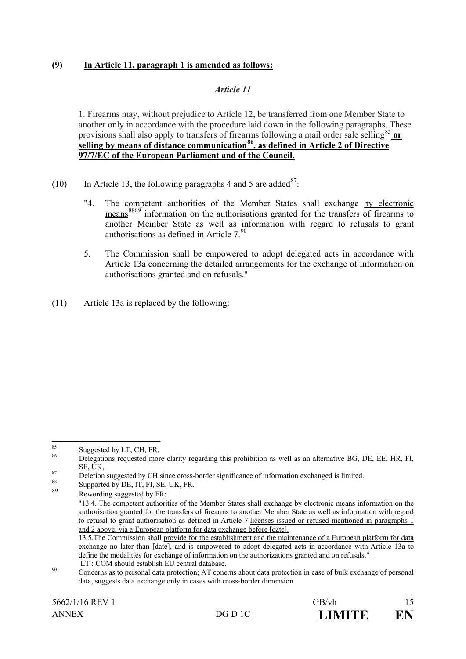## **(9) In Article 11, paragraph 1 is amended as follows:**

# *Article 11*

1. Firearms may, without prejudice to Article 12, be transferred from one Member State to another only in accordance with the procedure laid down in the following paragraphs. These provisions shall also apply to transfers of firearms following a mail order sale selling<sup>85</sup> or **selling by means of distance communication86, as defined in Article 2 of Directive 97/7/EC of the European Parliament and of the Council.**

- (10) In Article 13, the following paragraphs 4 and 5 are added<sup>87</sup>:
	- "4. The competent authorities of the Member States shall exchange by electronic means<sup>8889</sup> information on the authorisations granted for the transfers of firearms to another Member State as well as information with regard to refusals to grant authorisations as defined in Article  $7<sup>90</sup>$
	- 5. The Commission shall be empowered to adopt delegated acts in accordance with Article 13a concerning the detailed arrangements for the exchange of information on authorisations granted and on refusals."
- (11) Article 13a is replaced by the following:

<sup>&</sup>lt;sup>85</sup> Suggested by LT, CH, FR. **Suggested by LT, CH, FR.** 86 Bellegations requested more clarity regarding this prohibition as well as an alternative BG, DE, EE, HR, FI,  $\overline{B}$ 

SE, UK,.<br>
Peletion suggested by CH since cross-border significance of information exchanged is limited.<br>
Supported by DE, IT, FI, SE, UK, FR.<br>
Supported by DE, IT, FI, SE, UK, FR.

Rewording suggested by FR:

<sup>&</sup>quot;13.4. The competent authorities of the Member States shall exchange by electronic means information on the authorisation granted for the transfers of firearms to another Member State as well as information with regard to refusal to grant authorisation as defined in Article 7.licenses issued or refused mentioned in paragraphs 1 and 2 above, via a European platform for data exchange before [date].

<sup>13.5.</sup>The Commission shall provide for the establishment and the maintenance of a European platform for data exchange no later than [date], and is empowered to adopt delegated acts in accordance with Article 13a to define the modalities for exchange of information on the authorizations granted and on refusals."

<sup>&</sup>lt;sup>90</sup> LT : COM should establish EU central database.<br><sup>90</sup> Concerns as to personal data protection; AT conerns about data protection in case of bulk exchange of personal data, suggests data exchange only in cases with cross-border dimension.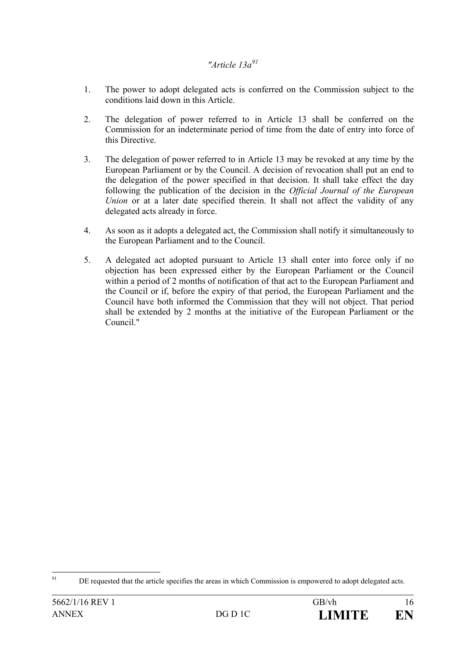# *"Article 13a<sup>91</sup>*

- 1. The power to adopt delegated acts is conferred on the Commission subject to the conditions laid down in this Article.
- 2. The delegation of power referred to in Article 13 shall be conferred on the Commission for an indeterminate period of time from the date of entry into force of this Directive.
- 3. The delegation of power referred to in Article 13 may be revoked at any time by the European Parliament or by the Council. A decision of revocation shall put an end to the delegation of the power specified in that decision. It shall take effect the day following the publication of the decision in the *Official Journal of the European Union* or at a later date specified therein. It shall not affect the validity of any delegated acts already in force.
- 4. As soon as it adopts a delegated act, the Commission shall notify it simultaneously to the European Parliament and to the Council.
- 5. A delegated act adopted pursuant to Article 13 shall enter into force only if no objection has been expressed either by the European Parliament or the Council within a period of 2 months of notification of that act to the European Parliament and the Council or if, before the expiry of that period, the European Parliament and the Council have both informed the Commission that they will not object. That period shall be extended by 2 months at the initiative of the European Parliament or the Council."

<sup>&</sup>lt;sup>91</sup> DE requested that the article specifies the areas in which Commission is empowered to adopt delegated acts.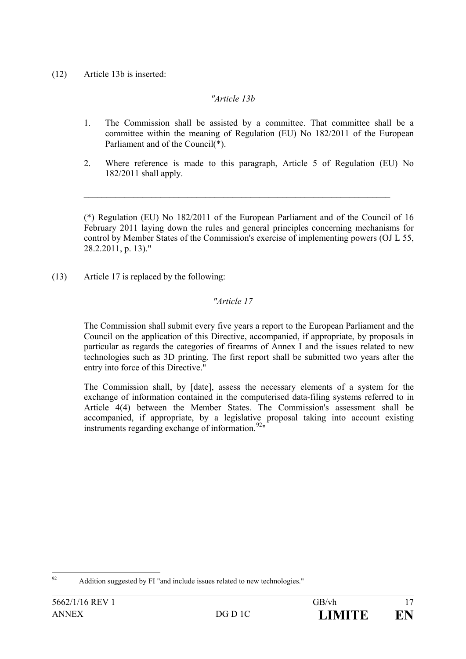(12) Article 13b is inserted:

# *"Article 13b*

- 1. The Commission shall be assisted by a committee. That committee shall be a committee within the meaning of Regulation (EU) No 182/2011 of the European Parliament and of the Council(\*).
- 2. Where reference is made to this paragraph, Article 5 of Regulation (EU) No 182/2011 shall apply.

 $\_$ 

(\*) Regulation (EU) No 182/2011 of the European Parliament and of the Council of 16 February 2011 laying down the rules and general principles concerning mechanisms for control by Member States of the Commission's exercise of implementing powers (OJ L 55, 28.2.2011, p. 13)."

(13) Article 17 is replaced by the following:

# *"Article 17*

The Commission shall submit every five years a report to the European Parliament and the Council on the application of this Directive, accompanied, if appropriate, by proposals in particular as regards the categories of firearms of Annex I and the issues related to new technologies such as 3D printing. The first report shall be submitted two years after the entry into force of this Directive."

The Commission shall, by [date], assess the necessary elements of a system for the exchange of information contained in the computerised data-filing systems referred to in Article 4(4) between the Member States. The Commission's assessment shall be accompanied, if appropriate, by a legislative proposal taking into account existing instruments regarding exchange of information. $92$ "

 <sup>92</sup> Addition suggested by FI "and include issues related to new technologies."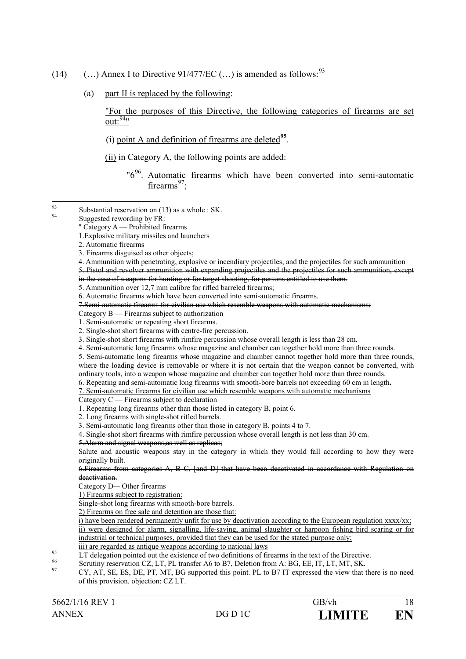- (14)  $\ldots$ ) Annex I to Directive 91/477/EC  $(\ldots)$  is amended as follows: <sup>93</sup>
	- (a) part II is replaced by the following:

"For the purposes of this Directive, the following categories of firearms are set out:  $94$ "

- (i) point A and definition of firearms are deleted**<sup>95</sup>**.
- (ii) in Category A, the following points are added:

"6<sup>96</sup>. Automatic firearms which have been converted into semi-automatic firearms $97$ .

- 3. Single-shot short firearms with rimfire percussion whose overall length is less than 28 cm.
- 4. Semi-automatic long firearms whose magazine and chamber can together hold more than three rounds.

5. Semi-automatic long firearms whose magazine and chamber cannot together hold more than three rounds, where the loading device is removable or where it is not certain that the weapon cannot be converted, with ordinary tools, into a weapon whose magazine and chamber can together hold more than three rounds.

- 6. Repeating and semi-automatic long firearms with smooth-bore barrels not exceeding 60 cm in length**.**
- 7. Semi-automatic firearms for civilian use which resemble weapons with automatic mechanisms

Category C — Firearms subject to declaration

- 1. Repeating long firearms other than those listed in category B, point 6.
- 2. Long firearms with single-shot rifled barrels.
- 3. Semi-automatic long firearms other than those in category B, points 4 to 7.

4. Single-shot short firearms with rimfire percussion whose overall length is not less than 30 cm.

5.Alarm and signal weapons,as well as replicas;

Salute and acoustic weapons stay in the category in which they would fall according to how they were originally built.

6.Firearms from categories A, B C, [and D] that have been deactivated in accordance with Regulation on deactivation.

Category D*—* Other firearms

1) Firearms subject to registration:

Single-shot long firearms with smooth-bore barrels.

2) Firearms on free sale and detention are those that:

i) have been rendered permanently unfit for use by deactivation according to the European regulation xxxx/xx; ii) were designed for alarm, signalling, life-saving, animal slaughter or harpoon fishing bird scaring or for industrial or technical purposes, provided that they can be used for the stated purpose only;

- 
- <sup>95</sup><br>In are regarded as antique weapons according to national laws<br>LT delegation pointed out the existence of two definitions of firearms in the text of the Directive.<br>Scrutiny reservation CZ, LT, PL transfer A6 to B7, Del
	-
- of this provision. objection: CZ LT.

<sup>93</sup> Substantial reservation on (13) as a whole : SK.<br>Suggested rewording by FR:

<sup>&</sup>quot; Category A — Prohibited firearms

<sup>1.</sup>Explosive military missiles and launchers

<sup>2.</sup> Automatic firearms

<sup>3.</sup> Firearms disguised as other objects;

<sup>4.</sup> Ammunition with penetrating, explosive or incendiary projectiles, and the projectiles for such ammunition 5. Pistol and revolver ammunition with expanding projectiles and the projectiles for such ammunition, except in the case of weapons for hunting or for target shooting, for persons entitled to use them.

<sup>5.</sup> Ammunition over 12,7 mm calibre for rifled barreled firearms;

<sup>6.</sup> Automatic firearms which have been converted into semi-automatic firearms.

<sup>7.</sup>Semi-automatic firearms for civilian use which resemble weapons with automatic mechanisms;

Category B — Firearms subject to authorization

<sup>1.</sup> Semi-automatic or repeating short firearms.

<sup>2.</sup> Single-shot short firearms with centre-fire percussion.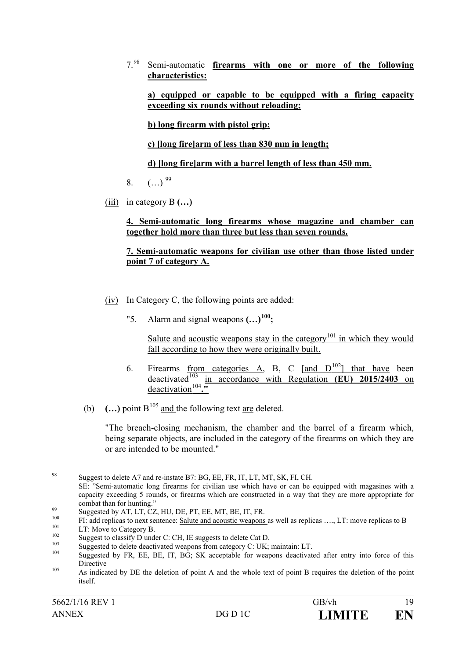7.<sup>98</sup> Semi-automatic **firearms with one or more of the following characteristics:**

**a) equipped or capable to be equipped with a firing capacity exceeding six rounds without reloading;**

**b) long firearm with pistol grip;**

**c) [long fire]arm of less than 830 mm in length;**

**d) [long fire]arm with a barrel length of less than 450 mm.**

- 8.  $(\ldots)^{99}$
- (ii**i**) in category B **(…)**

## **4. Semi-automatic long firearms whose magazine and chamber can together hold more than three but less than seven rounds.**

## **7. Semi-automatic weapons for civilian use other than those listed under point 7 of category A.**

- (iv) In Category C, the following points are added:
	- "5. Alarm and signal weapons **(…)100;**

Salute and acoustic weapons stay in the category<sup>101</sup> in which they would fall according to how they were originally built.

- 6. Firearms <u>from categories A</u>, B, C  $\left[\text{and } D^{102}\right]$  that have been deactivated<sup>103</sup> in accordance with Regulation **(EU) 2015/2403** on deactivation<sup>104</sup>."
- (b)  $\ldots$ ) point B<sup>105</sup> and the following text are deleted.

"The breach-closing mechanism, the chamber and the barrel of a firearm which, being separate objects, are included in the category of the firearms on which they are or are intended to be mounted."

98 Suggest to delete A7 and re-instate B7: BG, EE, FR, IT, LT, MT, SK, FI, CH.

SE: "Semi-automatic long firearms for civilian use which have or can be equipped with magasines with a capacity exceeding 5 rounds, or firearms which are constructed in a way that they are more appropriate for combat than for hunting."<br>
Suggested by AT, LT, CZ, HU, DE, PT, EE, MT, BE, IT, FR.<br>
FI: add replicas to next sentence: <u>Salute and acoustic weapons</u> as well as replicas ...., LT: move replicas to B<br>
LT: Move to Category B

Directive<br>As indicated by DE the deletion of point A and the whole text of point B requires the deletion of the point

itself.